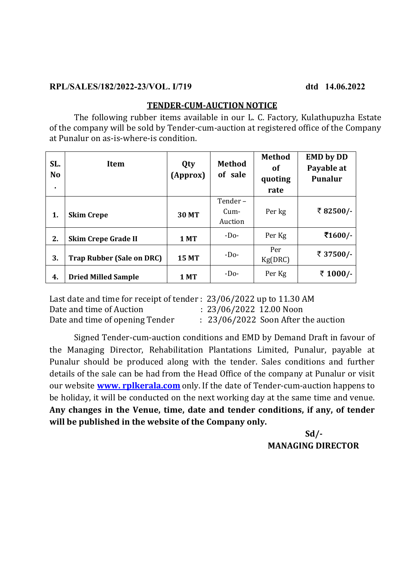#### **RPL/SALES/182/2022-23/VOL. I/719 dtd 14.06.2022**

#### **TENDER-CUM-AUCTION NOTICE**

 The following rubber items available in our L. C. Factory, Kulathupuzha Estate of the company will be sold by Tender-cum-auction at registered office of the Company at Punalur on as-is-where-is condition.

| SL.<br><b>No</b><br>٠. | <b>Item</b>                      | Qty<br>(Approx) | <b>Method</b><br>of sale     | <b>Method</b><br><b>of</b><br>quoting<br>rate | <b>EMD by DD</b><br>Payable at<br><b>Punalur</b> |
|------------------------|----------------------------------|-----------------|------------------------------|-----------------------------------------------|--------------------------------------------------|
| 1.                     | <b>Skim Crepe</b>                | <b>30 MT</b>    | Tender-<br>$Cum-$<br>Auction | Per kg                                        | ₹82500/-                                         |
| 2.                     | <b>Skim Crepe Grade II</b>       | <b>1 MT</b>     | $-Do-$                       | Per Kg                                        | ₹1600/-                                          |
| 3.                     | <b>Trap Rubber (Sale on DRC)</b> | <b>15 MT</b>    | $-D0$                        | Per<br>Kg(DRC)                                | ₹ 37500/-                                        |
| 4.                     | <b>Dried Milled Sample</b>       | 1 MT            | $-D0$                        | Per Kg                                        | ₹ 1000/-                                         |

Last date and time for receipt of tender : 23/06/2022 up to 11.30 AM Date and time of Auction : 23/06/2022 12.00 Noon Date and time of opening Tender : 23/06/2022 Soon After the auction

 Signed Tender-cum-auction conditions and EMD by Demand Draft in favour of the Managing Director, Rehabilitation Plantations Limited, Punalur, payable at Punalur should be produced along with the tender. Sales conditions and further details of the sale can be had from the Head Office of the company at Punalur or visit our website **www. rplkerala.com** only. If the date of Tender-cum-auction happens to be holiday, it will be conducted on the next working day at the same time and venue. **Any changes in the Venue, time, date and tender conditions, if any, of tender will be published in the website of the Company only.**

#### **Sd/- MANAGING DIRECTOR**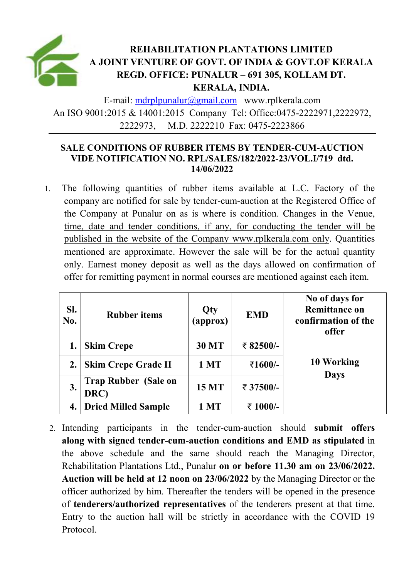

E-mail: mdrplpunalur@gmail.com www.rplkerala.com An ISO 9001:2015 & 14001:2015 Company Tel: Office:0475-2222971,2222972, 2222973, M.D. 2222210 Fax: 0475-2223866

### **SALE CONDITIONS OF RUBBER ITEMS BY TENDER-CUM-AUCTION VIDE NOTIFICATION NO. RPL/SALES/182/2022-23/VOL.I/719 dtd. 14/06/2022**

1. The following quantities of rubber items available at L.C. Factory of the company are notified for sale by tender-cum-auction at the Registered Office of the Company at Punalur on as is where is condition. Changes in the Venue, time, date and tender conditions, if any, for conducting the tender will be published in the website of the Company www.rplkerala.com only. Quantities mentioned are approximate. However the sale will be for the actual quantity only. Earnest money deposit as well as the days allowed on confirmation of offer for remitting payment in normal courses are mentioned against each item.

| SI.<br>No. | <b>Rubber items</b>                 | Qty<br>(approx) | <b>EMD</b> | No of days for<br><b>Remittance on</b><br>confirmation of the<br>offer |
|------------|-------------------------------------|-----------------|------------|------------------------------------------------------------------------|
|            | <b>Skim Crepe</b>                   | <b>30 MT</b>    | ₹ 82500/-  |                                                                        |
|            | <b>Skim Crepe Grade II</b>          | 1 MT            | ₹1600/-    | 10 Working                                                             |
| 3.         | <b>Trap Rubber (Sale on</b><br>DRC) | 15 MT           | ₹ 37500/-  | <b>Days</b>                                                            |
| 4.         | <b>Dried Milled Sample</b>          | <b>MT</b>       | ₹ 1000/-   |                                                                        |

2. Intending participants in the tender-cum-auction should **submit offers along with signed tender-cum-auction conditions and EMD as stipulated** in the above schedule and the same should reach the Managing Director, Rehabilitation Plantations Ltd., Punalur **on or before 11.30 am on 23/06/2022. Auction will be held at 12 noon on 23/06/2022** by the Managing Director or the officer authorized by him. Thereafter the tenders will be opened in the presence of **tenderers/authorized representatives** of the tenderers present at that time. Entry to the auction hall will be strictly in accordance with the COVID 19 Protocol.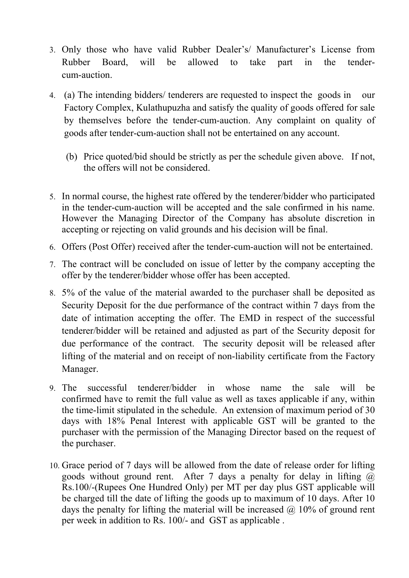- 3. Only those who have valid Rubber Dealer's/ Manufacturer's License from Rubber Board, will be allowed to take part in the tendercum-auction.
- 4. (a) The intending bidders/ tenderers are requested to inspect the goods in our Factory Complex, Kulathupuzha and satisfy the quality of goods offered for sale by themselves before the tender-cum-auction. Any complaint on quality of goods after tender-cum-auction shall not be entertained on any account.
	- (b) Price quoted/bid should be strictly as per the schedule given above. If not, the offers will not be considered.
- 5. In normal course, the highest rate offered by the tenderer/bidder who participated in the tender-cum-auction will be accepted and the sale confirmed in his name. However the Managing Director of the Company has absolute discretion in accepting or rejecting on valid grounds and his decision will be final.
- 6. Offers (Post Offer) received after the tender-cum-auction will not be entertained.
- 7. The contract will be concluded on issue of letter by the company accepting the offer by the tenderer/bidder whose offer has been accepted.
- 8. 5% of the value of the material awarded to the purchaser shall be deposited as Security Deposit for the due performance of the contract within 7 days from the date of intimation accepting the offer. The EMD in respect of the successful tenderer/bidder will be retained and adjusted as part of the Security deposit for due performance of the contract. The security deposit will be released after lifting of the material and on receipt of non-liability certificate from the Factory Manager.
- 9. The successful tenderer/bidder in whose name the sale will be confirmed have to remit the full value as well as taxes applicable if any, within the time-limit stipulated in the schedule. An extension of maximum period of 30 days with 18% Penal Interest with applicable GST will be granted to the purchaser with the permission of the Managing Director based on the request of the purchaser.
- 10. Grace period of 7 days will be allowed from the date of release order for lifting goods without ground rent. After 7 days a penalty for delay in lifting  $\omega$ Rs.100/-(Rupees One Hundred Only) per MT per day plus GST applicable will be charged till the date of lifting the goods up to maximum of 10 days. After 10 days the penalty for lifting the material will be increased  $(a)$  10% of ground rent per week in addition to Rs. 100/- and GST as applicable .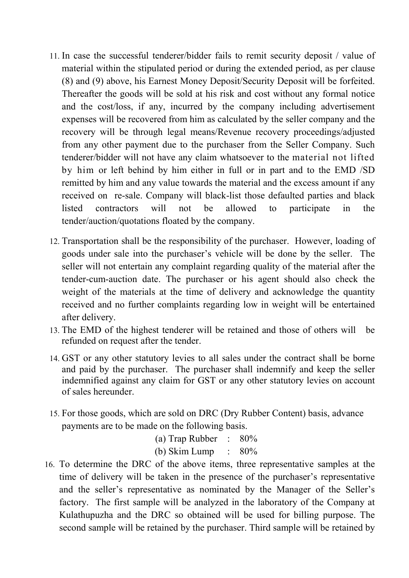- 11. In case the successful tenderer/bidder fails to remit security deposit / value of material within the stipulated period or during the extended period, as per clause (8) and (9) above, his Earnest Money Deposit/Security Deposit will be forfeited. Thereafter the goods will be sold at his risk and cost without any formal notice and the cost/loss, if any, incurred by the company including advertisement expenses will be recovered from him as calculated by the seller company and the recovery will be through legal means/Revenue recovery proceedings/adjusted from any other payment due to the purchaser from the Seller Company. Such tenderer/bidder will not have any claim whatsoever to the material not lifted by him or left behind by him either in full or in part and to the EMD /SD remitted by him and any value towards the material and the excess amount if any received on re-sale. Company will black-list those defaulted parties and black listed contractors will not be allowed to participate in the tender/auction/quotations floated by the company.
- 12. Transportation shall be the responsibility of the purchaser. However, loading of goods under sale into the purchaser's vehicle will be done by the seller. The seller will not entertain any complaint regarding quality of the material after the tender-cum-auction date. The purchaser or his agent should also check the weight of the materials at the time of delivery and acknowledge the quantity received and no further complaints regarding low in weight will be entertained after delivery.
- 13. The EMD of the highest tenderer will be retained and those of others will be refunded on request after the tender.
- 14. GST or any other statutory levies to all sales under the contract shall be borne and paid by the purchaser. The purchaser shall indemnify and keep the seller indemnified against any claim for GST or any other statutory levies on account of sales hereunder.
- 15. For those goods, which are sold on DRC (Dry Rubber Content) basis, advance payments are to be made on the following basis.

| (a) Trap Rubber : $80\%$       |  |
|--------------------------------|--|
| (b) Skim Lump $\therefore$ 80% |  |

16. To determine the DRC of the above items, three representative samples at the time of delivery will be taken in the presence of the purchaser's representative and the seller's representative as nominated by the Manager of the Seller's factory. The first sample will be analyzed in the laboratory of the Company at Kulathupuzha and the DRC so obtained will be used for billing purpose. The second sample will be retained by the purchaser. Third sample will be retained by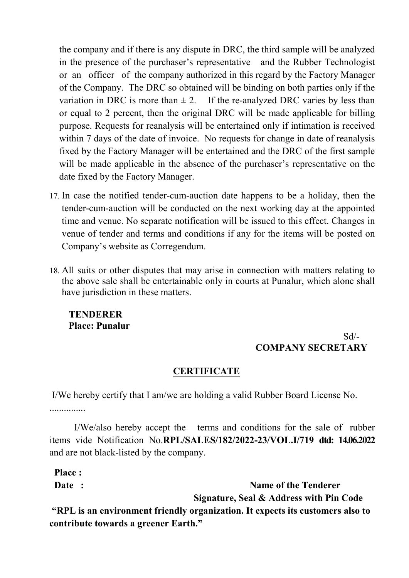the company and if there is any dispute in DRC, the third sample will be analyzed in the presence of the purchaser's representative and the Rubber Technologist or an officer of the company authorized in this regard by the Factory Manager of the Company. The DRC so obtained will be binding on both parties only if the variation in DRC is more than  $\pm 2$ . If the re-analyzed DRC varies by less than or equal to 2 percent, then the original DRC will be made applicable for billing purpose. Requests for reanalysis will be entertained only if intimation is received within 7 days of the date of invoice. No requests for change in date of reanalysis fixed by the Factory Manager will be entertained and the DRC of the first sample will be made applicable in the absence of the purchaser's representative on the date fixed by the Factory Manager.

- 17. In case the notified tender-cum-auction date happens to be a holiday, then the tender-cum-auction will be conducted on the next working day at the appointed time and venue. No separate notification will be issued to this effect. Changes in venue of tender and terms and conditions if any for the items will be posted on Company's website as Corregendum.
- 18. All suits or other disputes that may arise in connection with matters relating to the above sale shall be entertainable only in courts at Punalur, which alone shall have jurisdiction in these matters.

**TENDERER Place: Punalur** 

# Sd/-  **COMPANY SECRETARY**

## **CERTIFICATE**

 I/We hereby certify that I am/we are holding a valid Rubber Board License No. ...............

I/We/also hereby accept the terms and conditions for the sale of rubber items vide Notification No.**RPL/SALES/182/2022-23/VOL.I/719 dtd: 14.06.2022**  and are not black-listed by the company.

 **Place :** 

**Date :** Name of the Tenderer

 **Signature, Seal & Address with Pin Code** 

 **"RPL is an environment friendly organization. It expects its customers also to contribute towards a greener Earth."**